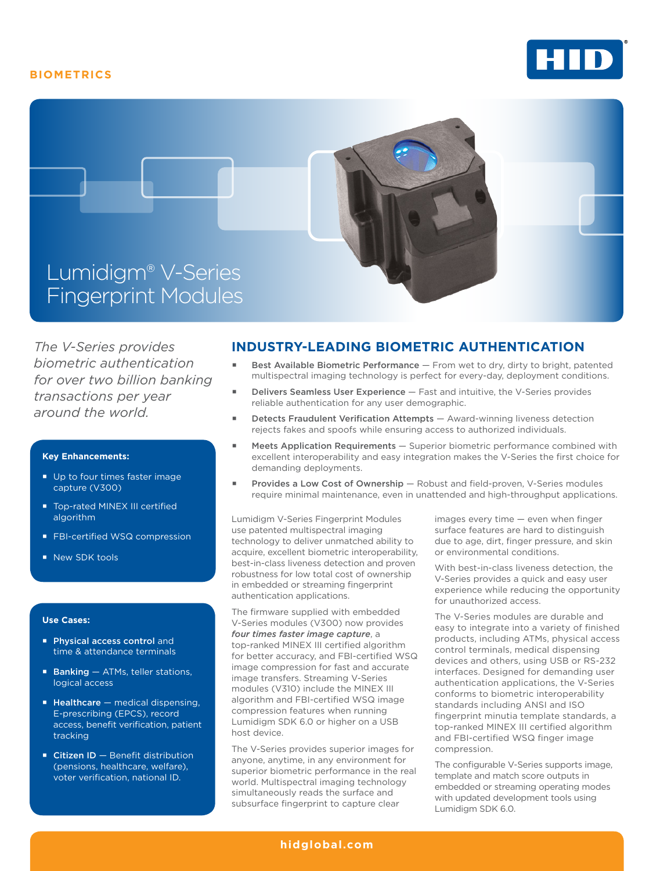## **BIOMETRICS**





*The V-Series provides biometric authentication for over two billion banking transactions per year around the world.*

#### **Key Enhancements:**

- Up to four times faster image capture (V300)
- **Top-rated MINEX III certified** algorithm
- **FBI-certified WSQ compression**
- New SDK tools

#### **Use Cases:**

- **Physical access control and** time & attendance terminals
- $\blacksquare$  Banking  $-$  ATMs, teller stations, logical access
- $\blacksquare$  Healthcare  $-$  medical dispensing, E-prescribing (EPCS), record access, benefit verification, patient tracking
- $\blacksquare$  Citizen ID Benefit distribution (pensions, healthcare, welfare), voter verification, national ID.

# **INDUSTRY-LEADING BIOMETRIC AUTHENTICATION**

- Best Available Biometric Performance From wet to dry, dirty to bright, patented multispectral imaging technology is perfect for every-day, deployment conditions.
- Delivers Seamless User Experience Fast and intuitive, the V-Series provides reliable authentication for any user demographic.
- Detects Fraudulent Verification Attempts Award-winning liveness detection rejects fakes and spoofs while ensuring access to authorized individuals.
- Meets Application Requirements Superior biometric performance combined with excellent interoperability and easy integration makes the V-Series the first choice for demanding deployments.
- Provides a Low Cost of Ownership Robust and field-proven, V-Series modules require minimal maintenance, even in unattended and high-throughput applications.

Lumidigm V-Series Fingerprint Modules use patented multispectral imaging technology to deliver unmatched ability to acquire, excellent biometric interoperability, best-in-class liveness detection and proven robustness for low total cost of ownership in embedded or streaming fingerprint authentication applications.

The firmware supplied with embedded V-Series modules (V300) now provides *four times faster image capture*, a top-ranked MINEX III certified algorithm for better accuracy, and FBI-certified WSQ image compression for fast and accurate image transfers. Streaming V-Series modules (V310) include the MINEX III algorithm and FBI-certified WSQ image compression features when running Lumidigm SDK 6.0 or higher on a USB host device.

The V-Series provides superior images for anyone, anytime, in any environment for superior biometric performance in the real world. Multispectral imaging technology simultaneously reads the surface and subsurface fingerprint to capture clear

images every time — even when finger surface features are hard to distinguish due to age, dirt, finger pressure, and skin or environmental conditions.

With best-in-class liveness detection, the V-Series provides a quick and easy user experience while reducing the opportunity for unauthorized access.

The V-Series modules are durable and easy to integrate into a variety of finished products, including ATMs, physical access control terminals, medical dispensing devices and others, using USB or RS-232 interfaces. Designed for demanding user authentication applications, the V-Series conforms to biometric interoperability standards including ANSI and ISO fingerprint minutia template standards, a top-ranked MINEX III certified algorithm and FBI-certified WSQ finger image compression.

The configurable V-Series supports image, template and match score outputs in embedded or streaming operating modes with updated development tools using Lumidigm SDK 6.0.